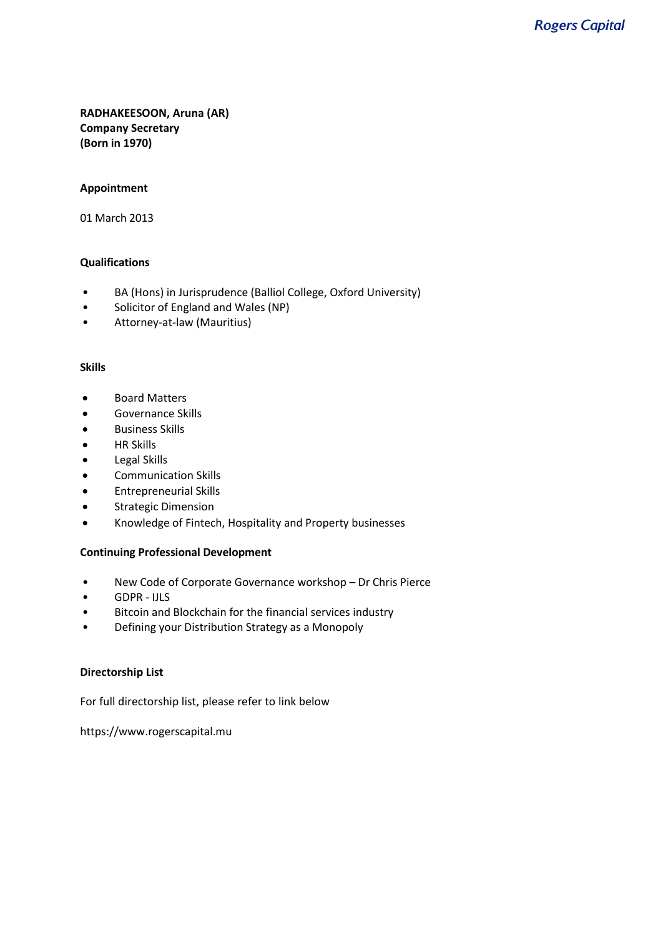**RADHAKEESOON, Aruna (AR) Company Secretary (Born in 1970)**

## **Appointment**

01 March 2013

## **Qualifications**

- BA (Hons) in Jurisprudence (Balliol College, Oxford University)
- Solicitor of England and Wales (NP)
- Attorney-at-law (Mauritius)

#### **Skills**

- Board Matters
- Governance Skills
- Business Skills
- HR Skills
- Legal Skills
- Communication Skills
- Entrepreneurial Skills
- Strategic Dimension
- Knowledge of Fintech, Hospitality and Property businesses

## **Continuing Professional Development**

- New Code of Corporate Governance workshop Dr Chris Pierce
- GDPR IJLS
- Bitcoin and Blockchain for the financial services industry
- Defining your Distribution Strategy as a Monopoly

## **Directorship List**

For full directorship list, please refer to link below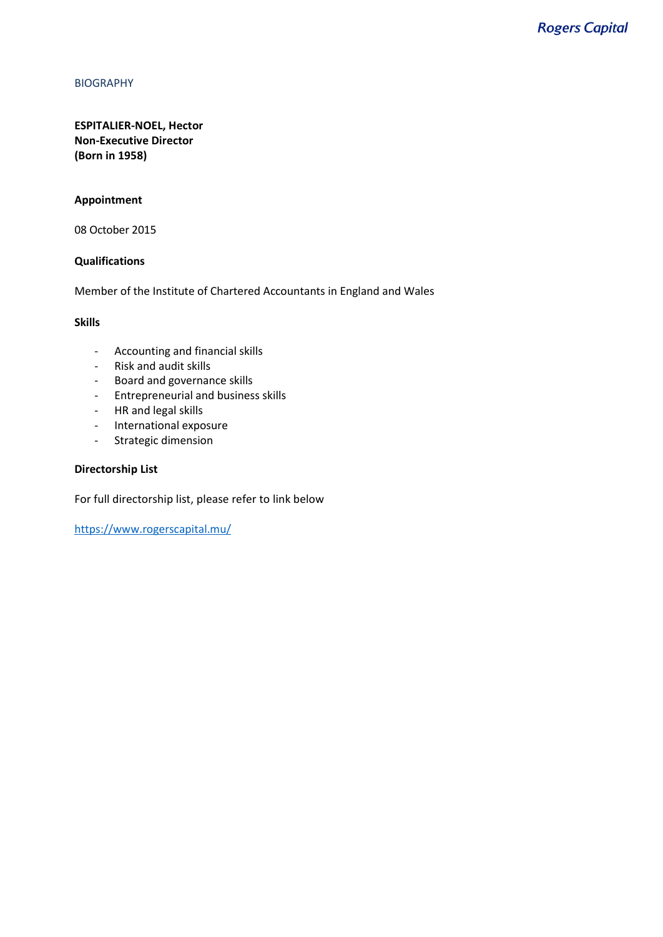## **ESPITALIER-NOEL, Hector Non-Executive Director (Born in 1958)**

## **Appointment**

08 October 2015

## **Qualifications**

Member of the Institute of Chartered Accountants in England and Wales

#### **Skills**

- Accounting and financial skills
- Risk and audit skills
- Board and governance skills
- Entrepreneurial and business skills
- HR and legal skills
- International exposure
- Strategic dimension

#### **Directorship List**

For full directorship list, please refer to link below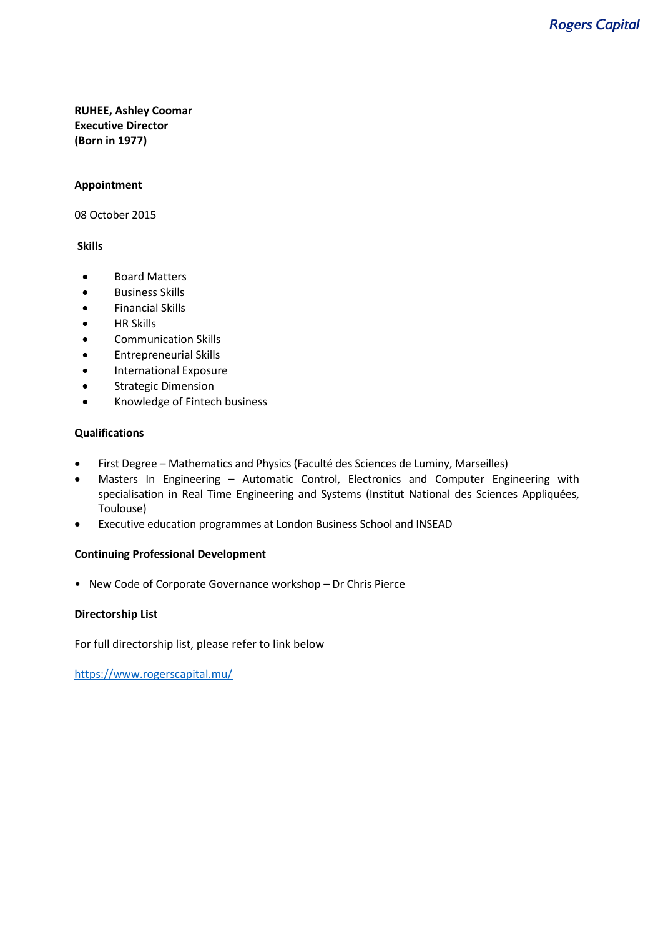## **RUHEE, Ashley Coomar Executive Director (Born in 1977)**

## **Appointment**

08 October 2015

## **Skills**

- Board Matters
- Business Skills
- Financial Skills
- HR Skills
- Communication Skills
- Entrepreneurial Skills
- International Exposure
- Strategic Dimension
- Knowledge of Fintech business

## **Qualifications**

- First Degree Mathematics and Physics (Faculté des Sciences de Luminy, Marseilles)
- Masters In Engineering Automatic Control, Electronics and Computer Engineering with specialisation in Real Time Engineering and Systems (Institut National des Sciences Appliquées, Toulouse)
- Executive education programmes at London Business School and INSEAD

## **Continuing Professional Development**

• New Code of Corporate Governance workshop – Dr Chris Pierce

## **Directorship List**

For full directorship list, please refer to link below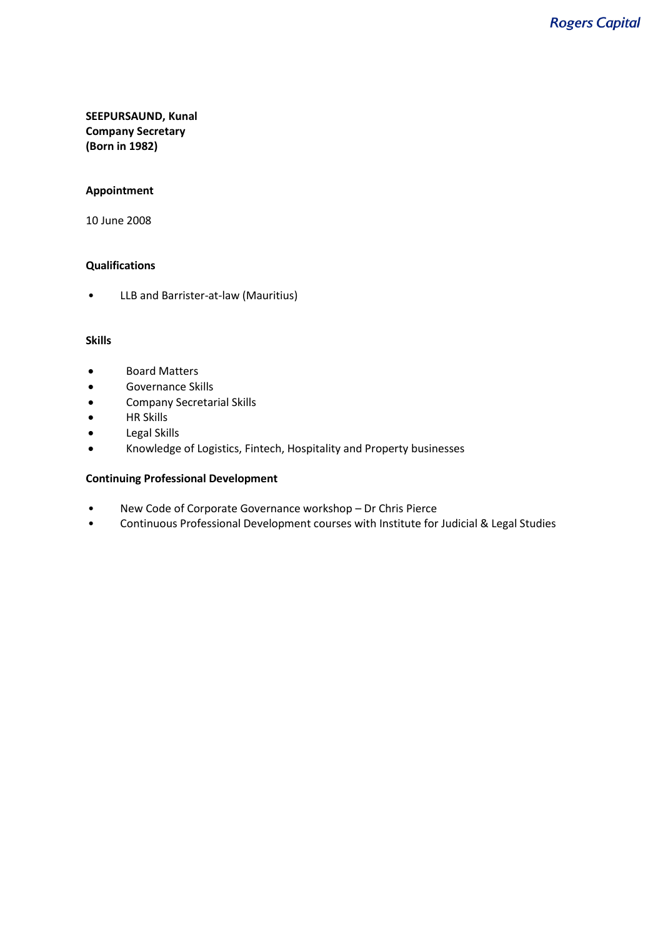# **SEEPURSAUND, Kunal Company Secretary (Born in 1982)**

## **Appointment**

10 June 2008

## **Qualifications**

• LLB and Barrister-at-law (Mauritius)

#### **Skills**

- Board Matters
- Governance Skills
- Company Secretarial Skills
- HR Skills
- Legal Skills
- Knowledge of Logistics, Fintech, Hospitality and Property businesses

## **Continuing Professional Development**

- New Code of Corporate Governance workshop Dr Chris Pierce
- Continuous Professional Development courses with Institute for Judicial & Legal Studies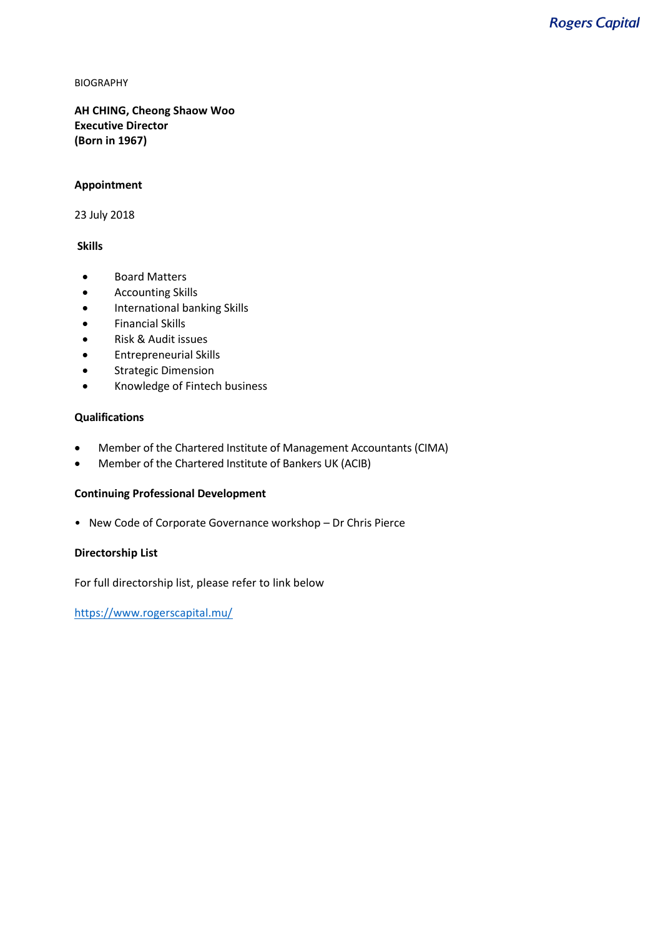**AH CHING, Cheong Shaow Woo Executive Director (Born in 1967)**

#### **Appointment**

23 July 2018

#### **Skills**

- Board Matters
- Accounting Skills
- International banking Skills
- Financial Skills
- Risk & Audit issues
- Entrepreneurial Skills
- Strategic Dimension
- Knowledge of Fintech business

## **Qualifications**

- Member of the Chartered Institute of Management Accountants (CIMA)
- Member of the Chartered Institute of Bankers UK (ACIB)

## **Continuing Professional Development**

• New Code of Corporate Governance workshop – Dr Chris Pierce

## **Directorship List**

For full directorship list, please refer to link below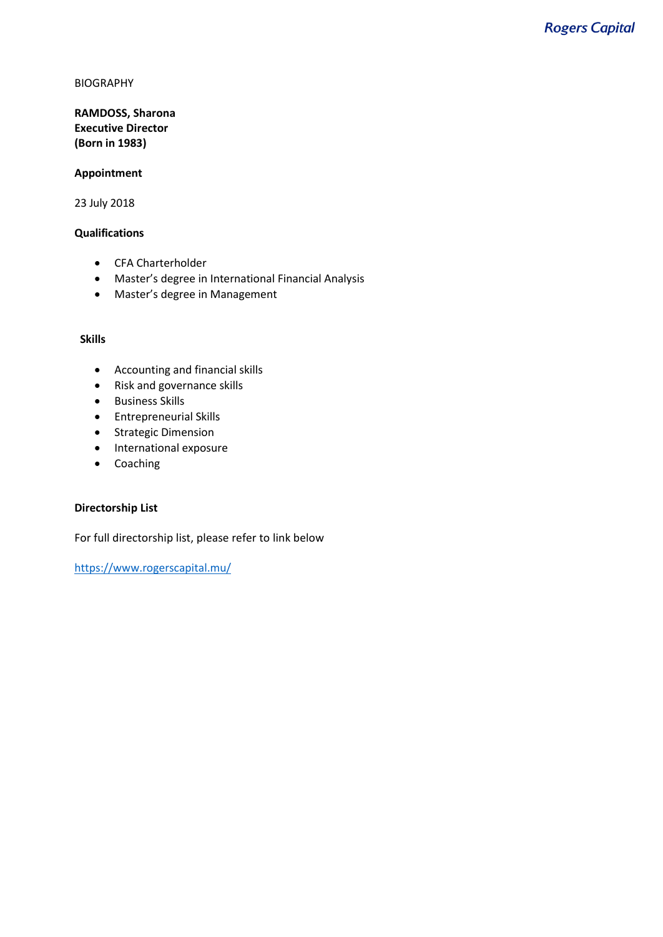# **RAMDOSS, Sharona Executive Director (Born in 1983)**

#### **Appointment**

23 July 2018

## **Qualifications**

- CFA Charterholder
- Master's degree in International Financial Analysis
- Master's degree in Management

## **Skills**

- Accounting and financial skills
- Risk and governance skills
- Business Skills
- Entrepreneurial Skills
- Strategic Dimension
- International exposure
- Coaching

# **Directorship List**

For full directorship list, please refer to link below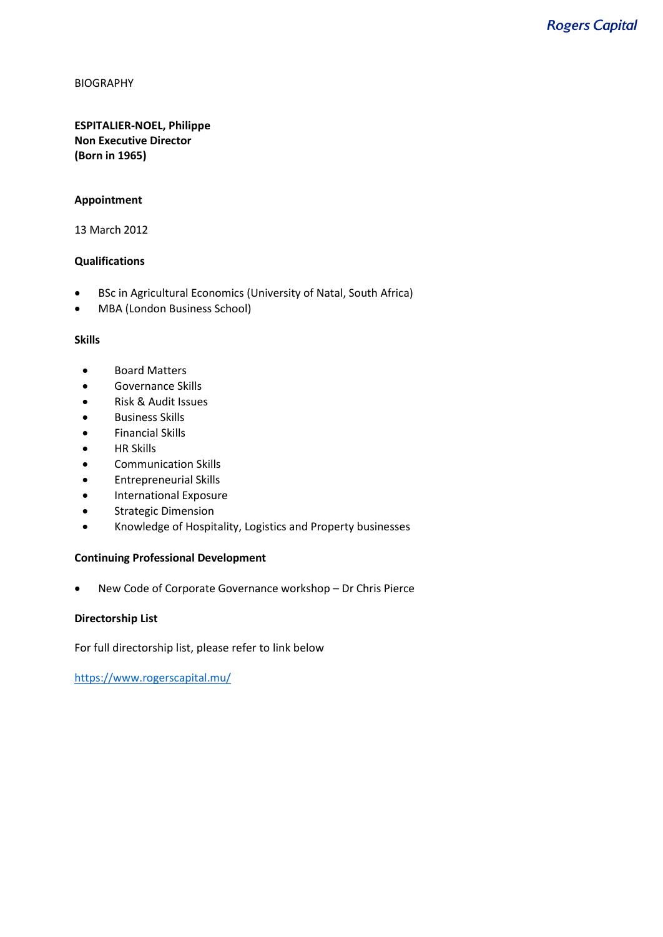## **ESPITALIER-NOEL, Philippe Non Executive Director (Born in 1965)**

## **Appointment**

13 March 2012

## **Qualifications**

- BSc in Agricultural Economics (University of Natal, South Africa)
- MBA (London Business School)

## **Skills**

- Board Matters
- Governance Skills
- Risk & Audit Issues
- Business Skills
- Financial Skills
- HR Skills
- Communication Skills
- Entrepreneurial Skills
- International Exposure
- Strategic Dimension
- Knowledge of Hospitality, Logistics and Property businesses

## **Continuing Professional Development**

• New Code of Corporate Governance workshop – Dr Chris Pierce

## **Directorship List**

For full directorship list, please refer to link below